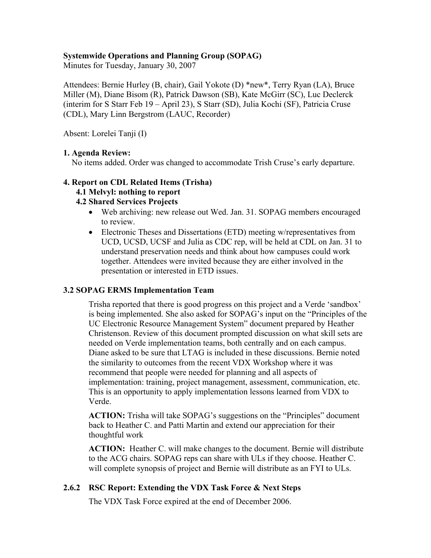## **Systemwide Operations and Planning Group (SOPAG)**

Minutes for Tuesday, January 30, 2007

Attendees: Bernie Hurley (B, chair), Gail Yokote (D) \*new\*, Terry Ryan (LA), Bruce Miller (M), Diane Bisom (R), Patrick Dawson (SB), Kate McGirr (SC), Luc Declerck (interim for S Starr Feb 19 – April 23), S Starr (SD), Julia Kochi (SF), Patricia Cruse (CDL), Mary Linn Bergstrom (LAUC, Recorder)

Absent: Lorelei Tanji (I)

### **1. Agenda Review:**

No items added. Order was changed to accommodate Trish Cruse's early departure.

### **4. Report on CDL Related Items (Trisha)**

#### **4.1 Melvyl: nothing to report**

### **4.2 Shared Services Projects**

- Web archiving: new release out Wed. Jan. 31. SOPAG members encouraged to review.
- Electronic Theses and Dissertations (ETD) meeting w/representatives from UCD, UCSD, UCSF and Julia as CDC rep, will be held at CDL on Jan. 31 to understand preservation needs and think about how campuses could work together. Attendees were invited because they are either involved in the presentation or interested in ETD issues.

### **3.2 SOPAG ERMS Implementation Team**

Trisha reported that there is good progress on this project and a Verde 'sandbox' is being implemented. She also asked for SOPAG's input on the "Principles of the UC Electronic Resource Management System" document prepared by Heather Christenson. Review of this document prompted discussion on what skill sets are needed on Verde implementation teams, both centrally and on each campus. Diane asked to be sure that LTAG is included in these discussions. Bernie noted the similarity to outcomes from the recent VDX Workshop where it was recommend that people were needed for planning and all aspects of implementation: training, project management, assessment, communication, etc. This is an opportunity to apply implementation lessons learned from VDX to Verde.

**ACTION:** Trisha will take SOPAG's suggestions on the "Principles" document back to Heather C. and Patti Martin and extend our appreciation for their thoughtful work

**ACTION:** Heather C. will make changes to the document. Bernie will distribute to the ACG chairs. SOPAG reps can share with ULs if they choose. Heather C. will complete synopsis of project and Bernie will distribute as an FYI to ULs.

## **2.6.2 RSC Report: Extending the VDX Task Force & Next Steps**

The VDX Task Force expired at the end of December 2006.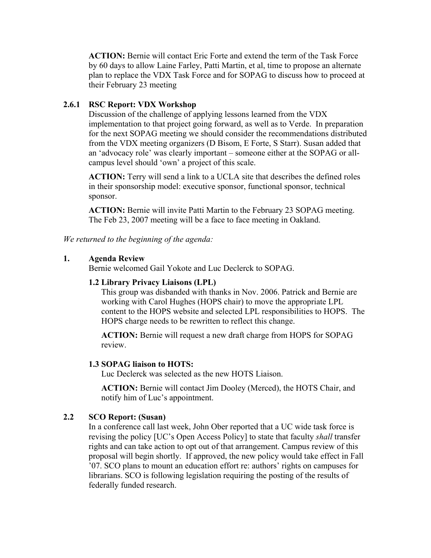**ACTION:** Bernie will contact Eric Forte and extend the term of the Task Force by 60 days to allow Laine Farley, Patti Martin, et al, time to propose an alternate plan to replace the VDX Task Force and for SOPAG to discuss how to proceed at their February 23 meeting

## **2.6.1 RSC Report: VDX Workshop**

Discussion of the challenge of applying lessons learned from the VDX implementation to that project going forward, as well as to Verde. In preparation for the next SOPAG meeting we should consider the recommendations distributed from the VDX meeting organizers (D Bisom, E Forte, S Starr). Susan added that an 'advocacy role' was clearly important – someone either at the SOPAG or allcampus level should 'own' a project of this scale.

**ACTION:** Terry will send a link to a UCLA site that describes the defined roles in their sponsorship model: executive sponsor, functional sponsor, technical sponsor.

**ACTION:** Bernie will invite Patti Martin to the February 23 SOPAG meeting. The Feb 23, 2007 meeting will be a face to face meeting in Oakland.

*We returned to the beginning of the agenda:* 

### **1. Agenda Review**

Bernie welcomed Gail Yokote and Luc Declerck to SOPAG.

### **1.2 Library Privacy Liaisons (LPL)**

This group was disbanded with thanks in Nov. 2006. Patrick and Bernie are working with Carol Hughes (HOPS chair) to move the appropriate LPL content to the HOPS website and selected LPL responsibilities to HOPS. The HOPS charge needs to be rewritten to reflect this change.

**ACTION:** Bernie will request a new draft charge from HOPS for SOPAG review.

### **1.3 SOPAG liaison to HOTS:**

Luc Declerck was selected as the new HOTS Liaison.

 **ACTION:** Bernie will contact Jim Dooley (Merced), the HOTS Chair, and notify him of Luc's appointment.

## **2.2 SCO Report: (Susan)**

In a conference call last week, John Ober reported that a UC wide task force is revising the policy [UC's Open Access Policy] to state that faculty *shall* transfer rights and can take action to opt out of that arrangement. Campus review of this proposal will begin shortly. If approved, the new policy would take effect in Fall '07. SCO plans to mount an education effort re: authors' rights on campuses for librarians. SCO is following legislation requiring the posting of the results of federally funded research.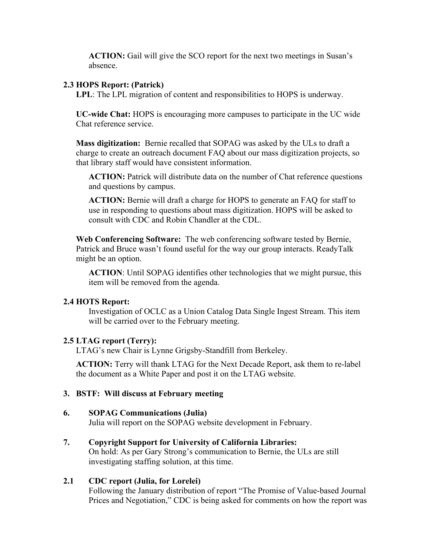**ACTION:** Gail will give the SCO report for the next two meetings in Susan's absence.

### **2.3 HOPS Report: (Patrick)**

**LPL**: The LPL migration of content and responsibilities to HOPS is underway.

**UC-wide Chat:** HOPS is encouraging more campuses to participate in the UC wide Chat reference service.

**Mass digitization:** Bernie recalled that SOPAG was asked by the ULs to draft a charge to create an outreach document FAQ about our mass digitization projects, so that library staff would have consistent information.

**ACTION:** Patrick will distribute data on the number of Chat reference questions and questions by campus.

**ACTION:** Bernie will draft a charge for HOPS to generate an FAQ for staff to use in responding to questions about mass digitization. HOPS will be asked to consult with CDC and Robin Chandler at the CDL.

**Web Conferencing Software:** The web conferencing software tested by Bernie, Patrick and Bruce wasn't found useful for the way our group interacts. ReadyTalk might be an option.

**ACTION**: Until SOPAG identifies other technologies that we might pursue, this item will be removed from the agenda.

## **2.4 HOTS Report:**

Investigation of OCLC as a Union Catalog Data Single Ingest Stream. This item will be carried over to the February meeting.

## **2.5 LTAG report (Terry):**

LTAG's new Chair is Lynne Grigsby-Standfill from Berkeley.

**ACTION:** Terry will thank LTAG for the Next Decade Report, ask them to re-label the document as a White Paper and post it on the LTAG website.

## **3. BSTF: Will discuss at February meeting**

### **6. SOPAG Communications (Julia)**

Julia will report on the SOPAG website development in February.

## **7. Copyright Support for University of California Libraries:**

 On hold: As per Gary Strong's communication to Bernie, the ULs are still investigating staffing solution, at this time.

## **2.1 CDC report (Julia, for Lorelei)**

 Following the January distribution of report "The Promise of Value-based Journal Prices and Negotiation," CDC is being asked for comments on how the report was